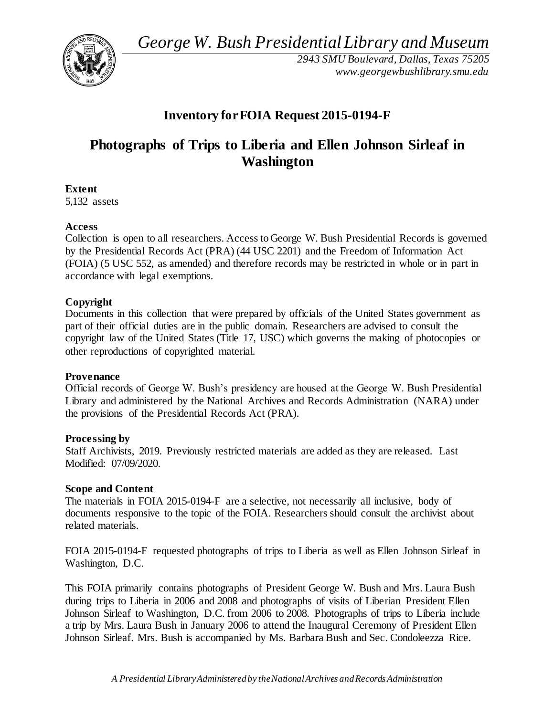*George W. Bush Presidential Library and Museum* 



*2943 SMU Boulevard, Dallas, Texas 75205 <www.georgewbushlibrary.smu.edu>*

# **Inventory forFOIA Request 2015-0194-F**

# **Photographs of Trips to Liberia and Ellen Johnson Sirleaf in Washington**

**Extent** 

5,132 assets

### **Access**

Collection is open to all researchers. Access to George W. Bush Presidential Records is governed by the Presidential Records Act (PRA) (44 USC 2201) and the Freedom of Information Act (FOIA) (5 USC 552, as amended) and therefore records may be restricted in whole or in part in accordance with legal exemptions.

# **Copyright**

Documents in this collection that were prepared by officials of the United States government as part of their official duties are in the public domain. Researchers are advised to consult the copyright law of the United States (Title 17, USC) which governs the making of photocopies or other reproductions of copyrighted material.

#### **Provenance**

Official records of George W. Bush's presidency are housed at the George W. Bush Presidential Library and administered by the National Archives and Records Administration (NARA) under the provisions of the Presidential Records Act (PRA).

# **Processing by**

Staff Archivists, 2019. Previously restricted materials are added as they are released. Last Modified: 07/09/2020.

#### **Scope and Content**

The materials in FOIA 2015-0194-F are a selective, not necessarily all inclusive, body of documents responsive to the topic of the FOIA. Researchers should consult the archivist about related materials.

FOIA 2015-0194-F requested photographs of trips to Liberia as well as Ellen Johnson Sirleaf in Washington, D.C.

This FOIA primarily contains photographs of President George W. Bush and Mrs. Laura Bush during trips to Liberia in 2006 and 2008 and photographs of visits of Liberian President Ellen Johnson Sirleaf to Washington, D.C. from 2006 to 2008. Photographs of trips to Liberia include a trip by Mrs. Laura Bush in January 2006 to attend the Inaugural Ceremony of President Ellen Johnson Sirleaf. Mrs. Bush is accompanied by Ms. Barbara Bush and Sec. Condoleezza Rice.